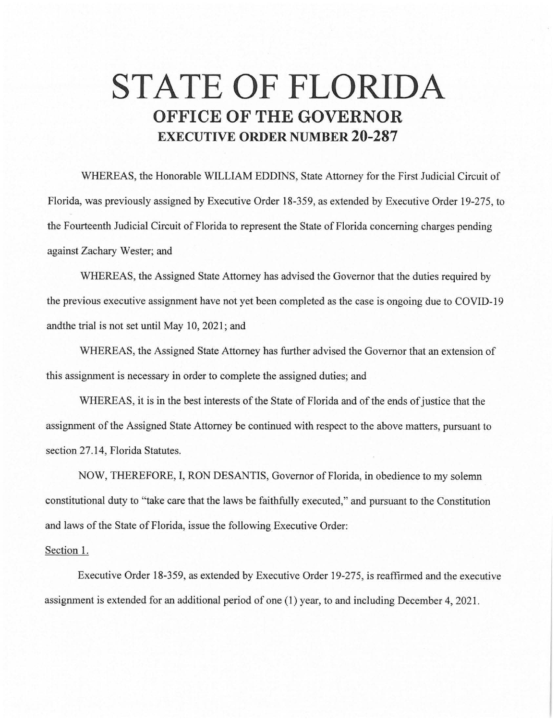## **STATE OF FLORIDA OFFICE OF THE GOVERNOR EXECUTIVE ORDER NUMBER 20-287**

WHEREAS, the Honorable WILLIAM EDDINS, State Attorney for the First Judicial Circuit of Florida, was previously assigned by Executive Order 18-359, as extended by Executive Order 19-275, to the Fourteenth Judicial Circuit of Florida to represent the State of Florida concerning charges pending against Zachary Wester; and

WHEREAS, the Assigned State Attorney has advised the Governor that the duties required by the previous executive assignment have not yet been completed as the case is ongoing due to COVID-19 andthe trial is not set until May 10, 2021; and

WHEREAS, the Assigned State Attorney has further advised the Governor that an extension of this assignment is necessary in order to complete the assigned duties; and

WHEREAS, it is in the best interests of the State of Florida and of the ends of justice that the assignment of the Assigned State Attorney be continued with respect to the above matters, pursuant to section 27.14, Florida Statutes.

NOW, THEREFORE, I, RON DESANTIS, Governor of Florida, in obedience to my solemn constitutional duty to "take care that the laws be faithfully executed," and pursuant to the Constitution and laws of the State of Florida, issue the following Executive Order:

## Section 1.

Executive Order 18-359, as extended by Executive Order 19-275, is reaffirmed and the executive assignment is extended for an additional period of one (1) year, to and including December 4, 2021.